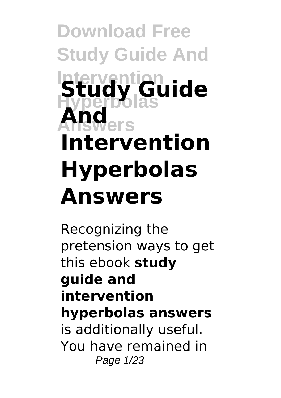**Download Free Study Guide And Intervention Hyperbolas Study Guide Answers And Intervention Hyperbolas Answers**

Recognizing the pretension ways to get this ebook **study guide and intervention hyperbolas answers** is additionally useful. You have remained in Page 1/23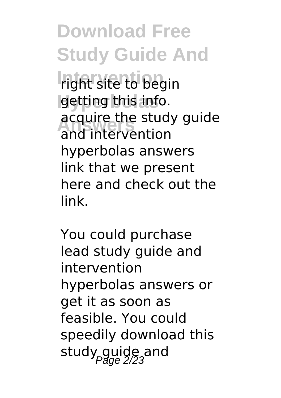**Download Free Study Guide And** *Indht site to begin* **Hyperbolas** getting this info. **Answers** and intervention acquire the study guide hyperbolas answers link that we present here and check out the link.

You could purchase lead study guide and intervention hyperbolas answers or get it as soon as feasible. You could speedily download this study guide and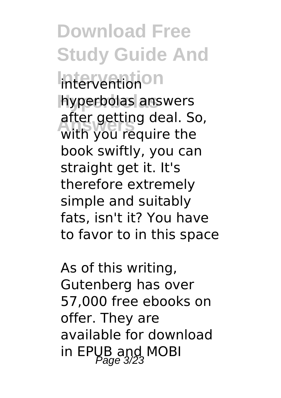**Download Free Study Guide And Intervention** intervention **Hyperbolas** hyperbolas answers **Answers** with you require the after getting deal. So, book swiftly, you can straight get it. It's therefore extremely simple and suitably fats, isn't it? You have to favor to in this space

As of this writing, Gutenberg has over 57,000 free ebooks on offer. They are available for download in EPUB and MOBI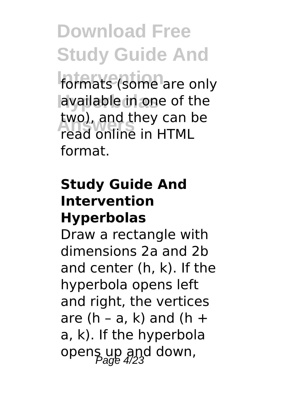**Download Free Study Guide And** formats (some are only **Hyperbolas** available in one of the **Answers** read online in HTML two), and they can be format.

## **Study Guide And Intervention Hyperbolas**

Draw a rectangle with dimensions 2a and 2b and center (h, k). If the hyperbola opens left and right, the vertices are  $(h - a, k)$  and  $(h +$ a, k). If the hyperbola opens up and down,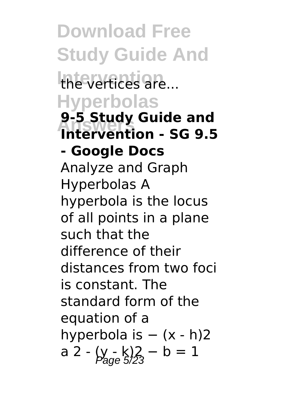**Download Free Study Guide And** the vertices are... **Hyperbolas Answers Intervention - SG 9.5 9-5 Study Guide and - Google Docs** Analyze and Graph Hyperbolas A hyperbola is the locus of all points in a plane such that the difference of their distances from two foci is constant. The standard form of the equation of a hyperbola is − (x - h)2 a 2 -  $(y - k)/2$  – b = 1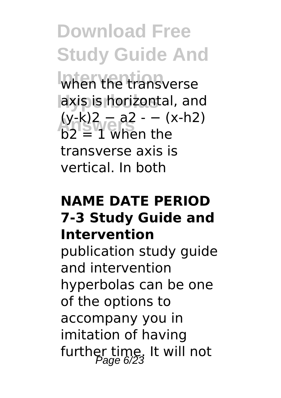**Download Free Study Guide And** when the transverse **Hyperbolas** axis is horizontal, and (y-k)2 − a2 - − (x-h2)<br>h2 = 1 when the  $b2 \equiv 1$  when the transverse axis is vertical. In both

## **NAME DATE PERIOD 7-3 Study Guide and Intervention**

publication study guide and intervention hyperbolas can be one of the options to accompany you in imitation of having further time. It will not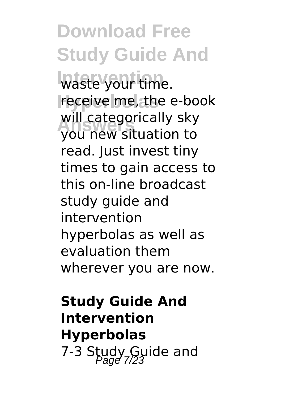**Download Free Study Guide And Intervention** waste your time. **Hyperbolas** receive me, the e-book **Answers** you new situation to will categorically sky read. Just invest tiny times to gain access to this on-line broadcast study guide and intervention hyperbolas as well as evaluation them wherever you are now.

**Study Guide And Intervention Hyperbolas** 7-3 Study Guide and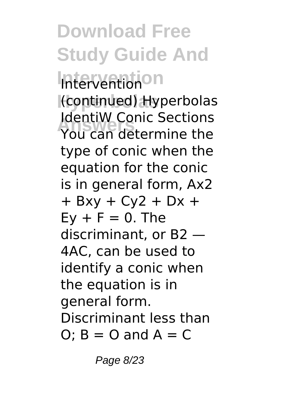**Download Free Study Guide And Intervention** Intervention **Hyperbolas** (continued) Hyperbolas **Refluxe Conic Sections**<br>You can determine the IdentiW Conic Sections type of conic when the equation for the conic is in general form, Ax2  $+ Bxy + Cy2 + Dx +$  $Ev + F = 0$ . The discriminant, or B2 — 4AC, can be used to identify a conic when the equation is in general form. Discriminant less than O;  $B = 0$  and  $A = C$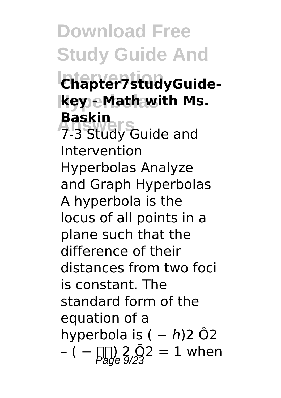# **Download Free Study Guide And**

# **Intervention Chapter7studyGuide-Hyperbolas key - Math with Ms. Baskin**

**Baskin**<br>7-3 Study Guide and Intervention Hyperbolas Analyze and Graph Hyperbolas A hyperbola is the locus of all points in a plane such that the difference of their distances from two foci is constant. The standard form of the equation of a hyperbola is  $( - h)$ 2 Ô2 – ( –  $\lim_{\beta \to 0} 2.02 = 1$  when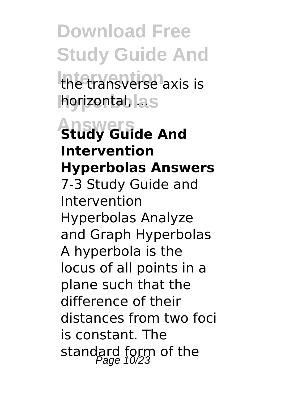**Download Free Study Guide And** the transverse axis is **horizontal, as** 

**Answers Study Guide And Intervention Hyperbolas Answers** 7-3 Study Guide and Intervention Hyperbolas Analyze and Graph Hyperbolas A hyperbola is the locus of all points in a plane such that the difference of their distances from two foci is constant. The standard form of the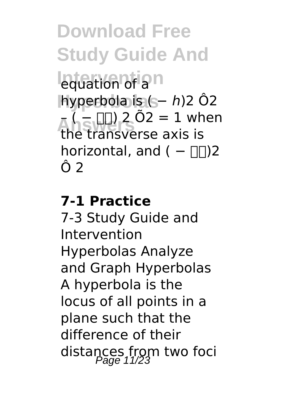**Download Free Study Guide And Lequation of a**n **Hyperbolas** hyperbola is ( − ℎ)2 Ô2  $A_{\text{F}}(-1) \cdot 2 \cdot 0 = 1$  when the transverse axis is horizontal, and  $( - \Box \Box)2$ Ô 2

#### **7-1 Practice**

7-3 Study Guide and Intervention Hyperbolas Analyze and Graph Hyperbolas A hyperbola is the locus of all points in a plane such that the difference of their distances from two foci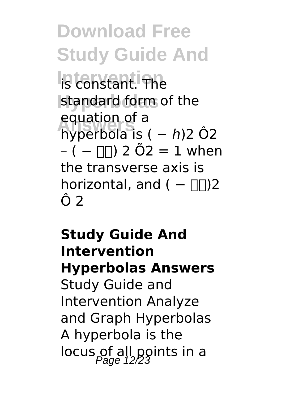**Download Free Study Guide And Intervention** is constant. The standard form of the **Answers** hyperbola is ( − ℎ)2 Ô2 equation of a  $- (- \Box)$  2 Õ2 = 1 when the transverse axis is horizontal, and ( $-\square$ )2 Ô 2

**Study Guide And Intervention Hyperbolas Answers** Study Guide and Intervention Analyze and Graph Hyperbolas A hyperbola is the locus of all points in a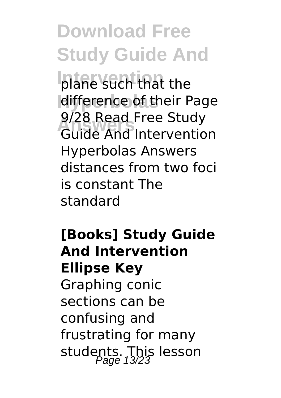**Download Free Study Guide And**

plane such that the **Hyperbolas** difference of their Page **Answers** Guide And Intervention 9/28 Read Free Study Hyperbolas Answers distances from two foci is constant The standard

**[Books] Study Guide And Intervention Ellipse Key** Graphing conic sections can be confusing and frustrating for many students. This lesson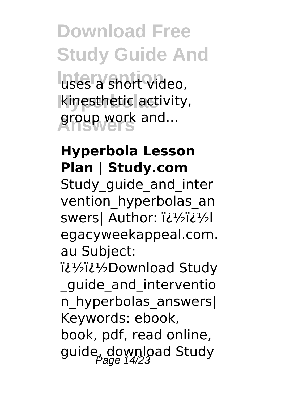**Download Free Study Guide And Intervention** uses a short video, **Hyperbolas** kinesthetic activity, **Answers** group work and...

## **Hyperbola Lesson Plan | Study.com**

Study quide and inter vention\_hyperbolas\_an swers| Author: i¿1/2i¿1/2l egacyweekappeal.com. au Subject:

i¿1/2i¿1/2Download Study

\_guide\_and\_interventio n\_hyperbolas\_answers| Keywords: ebook, book, pdf, read online, guide, download Study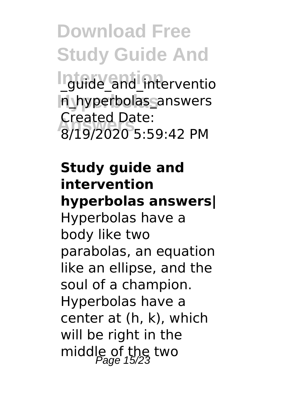**Download Free Study Guide And Intuide\_and\_interventio Hyperbolas** n\_hyperbolas\_answers **Answers** 8/19/2020 5:59:42 PM Created Date:

## **Study guide and intervention hyperbolas answers|**

Hyperbolas have a body like two parabolas, an equation like an ellipse, and the soul of a champion. Hyperbolas have a center at (h, k), which will be right in the middle of the two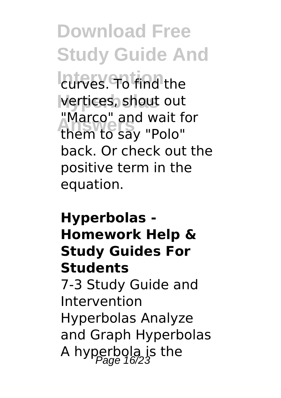**Download Free Study Guide And Lurves. To find the Hyperbolas** vertices, shout out **Answers** them to say "Polo" "Marco" and wait for back. Or check out the positive term in the equation.

## **Hyperbolas - Homework Help & Study Guides For Students**

7-3 Study Guide and Intervention Hyperbolas Analyze and Graph Hyperbolas A hyperbola is the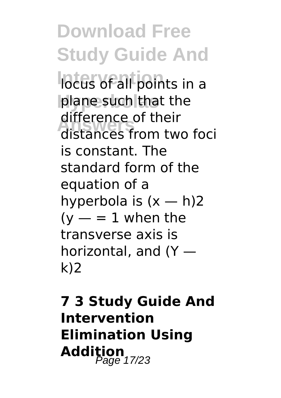**Download Free Study Guide And Interventions** in a plane such that the **Answers** distances from two foci difference of their is constant. The standard form of the equation of a hyperbola is  $(x - h)2$  $(y - 1)$  when the transverse axis is horizontal, and (Y k)2

**7 3 Study Guide And Intervention Elimination Using** Addition<sub>17/23</sub>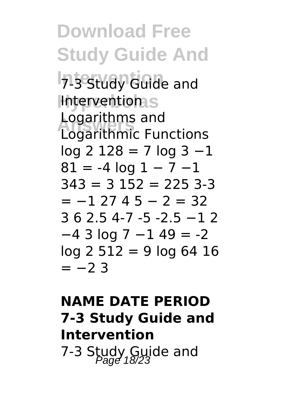**Download Free Study Guide And 7-3 Study Guide and Interventions Logarithms and**<br>Logarithmic Eur Logarithmic Functions  $log 2 128 = 7 log 3 -1$  $81 = -4 \log 1 - 7 -1$  $343 = 3152 = 2253 - 3$  $= -1$  27 4 5  $-$  2  $= 32$ 3 6 2.5 4-7 -5 -2.5 −1 2 −4 3 log 7 −1 49 = -2  $log 2 512 = 9 log 64 16$  $=-2$  3

# **NAME DATE PERIOD 7-3 Study Guide and Intervention** 7-3 Study Guide and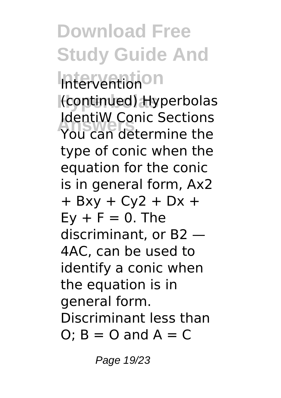**Download Free Study Guide And Intervention** Intervention **Hyperbolas** (continued) Hyperbolas **Refluxe Conic Sections**<br>You can determine the IdentiW Conic Sections type of conic when the equation for the conic is in general form, Ax2  $+ Bxy + Cy2 + Dx +$  $Ev + F = 0$ . The discriminant, or B2 — 4AC, can be used to identify a conic when the equation is in general form. Discriminant less than O;  $B = 0$  and  $A = C$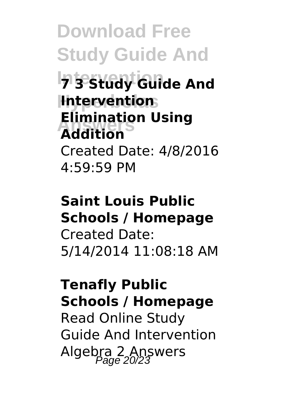**Download Free Study Guide And 7 3 Study Guide And Hyperbolas Intervention Answers Addition Elimination Using** Created Date: 4/8/2016 4:59:59 PM

## **Saint Louis Public Schools / Homepage** Created Date: 5/14/2014 11:08:18 AM

# **Tenafly Public Schools / Homepage** Read Online Study Guide And Intervention Algebra 2 Answers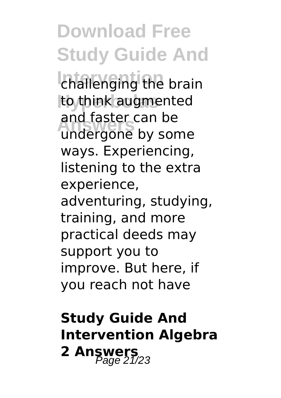**Download Free Study Guide And** challenging the brain **Hyperbolas** to think augmented **Answers** undergone by some and faster can be ways. Experiencing, listening to the extra experience, adventuring, studying, training, and more practical deeds may support you to improve. But here, if you reach not have

# **Study Guide And Intervention Algebra 2 Answers**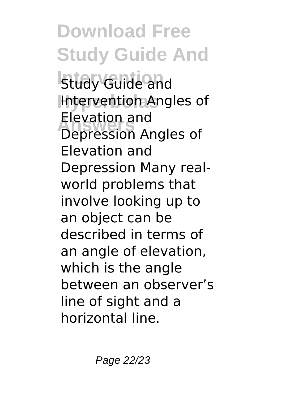**Download Free Study Guide And Istuay Guide and Intervention Angles of Answers** Depression Angles of Elevation and Elevation and Depression Many realworld problems that involve looking up to an object can be described in terms of an angle of elevation, which is the angle between an observer's line of sight and a horizontal line.